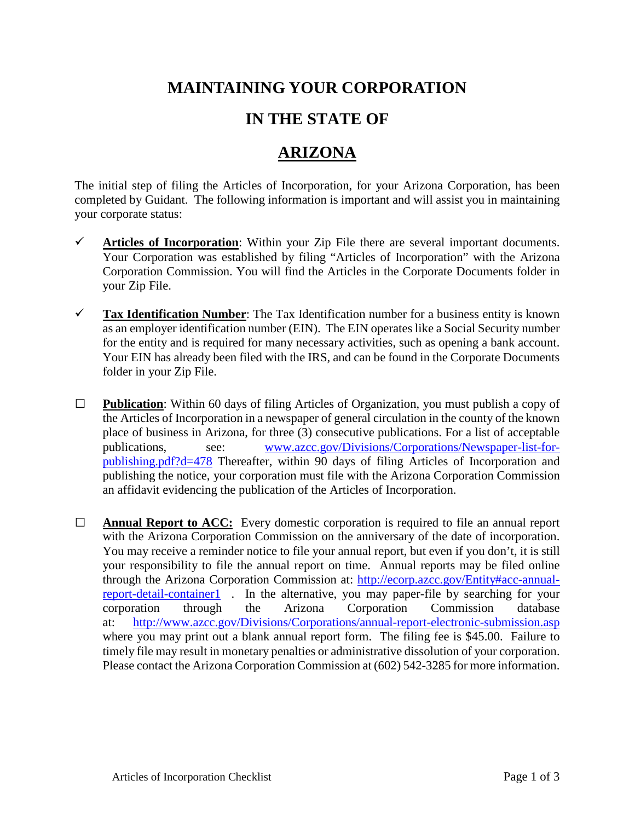## **MAINTAINING YOUR CORPORATION**

## **IN THE STATE OF**

## **ARIZONA**

The initial step of filing the Articles of Incorporation, for your Arizona Corporation, has been completed by Guidant. The following information is important and will assist you in maintaining your corporate status:

- **Articles of Incorporation**: Within your Zip File there are several important documents. Your Corporation was established by filing "Articles of Incorporation" with the Arizona Corporation Commission. You will find the Articles in the Corporate Documents folder in your Zip File.
- **Tax Identification Number**: The Tax Identification number for a business entity is known as an employer identification number (EIN). The EIN operates like a Social Security number for the entity and is required for many necessary activities, such as opening a bank account. Your EIN has already been filed with the IRS, and can be found in the Corporate Documents folder in your Zip File.
- **□ Publication**: Within 60 days of filing Articles of Organization, you must publish a copy of the Articles of Incorporation in a newspaper of general circulation in the county of the known place of business in Arizona, for three (3) consecutive publications. For a list of acceptable publications, see: [www.azcc.gov/Divisions/Corporations/Newspaper-list-for](http://www.azcc.gov/Divisions/Corporations/Newspaper-list-for-publishing.pdf?d=478)[publishing.pdf?d=478](http://www.azcc.gov/Divisions/Corporations/Newspaper-list-for-publishing.pdf?d=478) Thereafter, within 90 days of filing Articles of Incorporation and publishing the notice, your corporation must file with the Arizona Corporation Commission an affidavit evidencing the publication of the Articles of Incorporation.
- **□ Annual Report to ACC:** Every domestic corporation is required to file an annual report with the Arizona Corporation Commission on the anniversary of the date of incorporation. You may receive a reminder notice to file your annual report, but even if you don't, it is still your responsibility to file the annual report on time. Annual reports may be filed online through the Arizona Corporation Commission at: [http://ecorp.azcc.gov/Entity#acc-annual](http://ecorp.azcc.gov/Entity%23acc-annual-report-detail-container1)[report-detail-container1](http://ecorp.azcc.gov/Entity%23acc-annual-report-detail-container1) . In the alternative, you may paper-file by searching for your corporation through the Arizona Corporation Commission database at: <http://www.azcc.gov/Divisions/Corporations/annual-report-electronic-submission.asp> where you may print out a blank annual report form. The filing fee is \$45.00. Failure to timely file may result in monetary penalties or administrative dissolution of your corporation. Please contact the Arizona Corporation Commission at (602) 542-3285 for more information.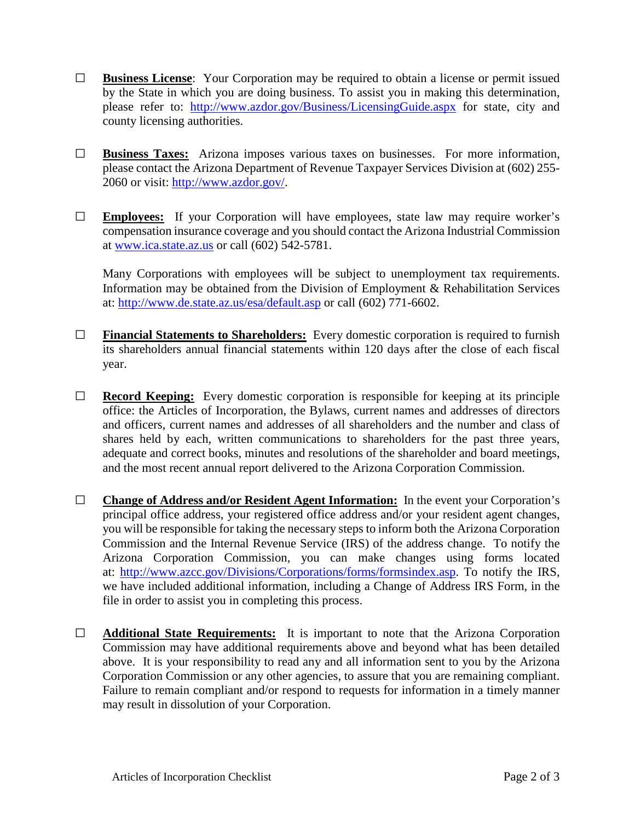- **□ Business License**: Your Corporation may be required to obtain a license or permit issued by the State in which you are doing business. To assist you in making this determination, please refer to: <http://www.azdor.gov/Business/LicensingGuide.aspx> for state, city and county licensing authorities.
- **□ Business Taxes:** Arizona imposes various taxes on businesses. For more information, please contact the Arizona Department of Revenue Taxpayer Services Division at (602) 255- 2060 or visit: [http://www.azdor.gov/.](http://www.azdor.gov/)
- **□ Employees:** If your Corporation will have employees, state law may require worker's compensation insurance coverage and you should contact the Arizona Industrial Commission at [www.ica.state.az.us](http://www.ica.state.az.us/) or call (602) 542-5781.

Many Corporations with employees will be subject to unemployment tax requirements. Information may be obtained from the Division of Employment & Rehabilitation Services at:<http://www.de.state.az.us/esa/default.asp> or call (602) 771-6602.

- **□ Financial Statements to Shareholders:** Every domestic corporation is required to furnish its shareholders annual financial statements within 120 days after the close of each fiscal year.
- **□ Record Keeping:** Every domestic corporation is responsible for keeping at its principle office: the Articles of Incorporation, the Bylaws, current names and addresses of directors and officers, current names and addresses of all shareholders and the number and class of shares held by each, written communications to shareholders for the past three years, adequate and correct books, minutes and resolutions of the shareholder and board meetings, and the most recent annual report delivered to the Arizona Corporation Commission.
- **□ Change of Address and/or Resident Agent Information:** In the event your Corporation's principal office address, your registered office address and/or your resident agent changes, you will be responsible for taking the necessary steps to inform both the Arizona Corporation Commission and the Internal Revenue Service (IRS) of the address change. To notify the Arizona Corporation Commission, you can make changes using forms located at: [http://www.azcc.gov/Divisions/Corporations/forms/formsindex.asp.](http://www.azcc.gov/Divisions/Corporations/forms/formsindex.asp) To notify the IRS, we have included additional information, including a Change of Address IRS Form, in the file in order to assist you in completing this process.
- **□ Additional State Requirements:** It is important to note that the Arizona Corporation Commission may have additional requirements above and beyond what has been detailed above. It is your responsibility to read any and all information sent to you by the Arizona Corporation Commission or any other agencies, to assure that you are remaining compliant. Failure to remain compliant and/or respond to requests for information in a timely manner may result in dissolution of your Corporation.